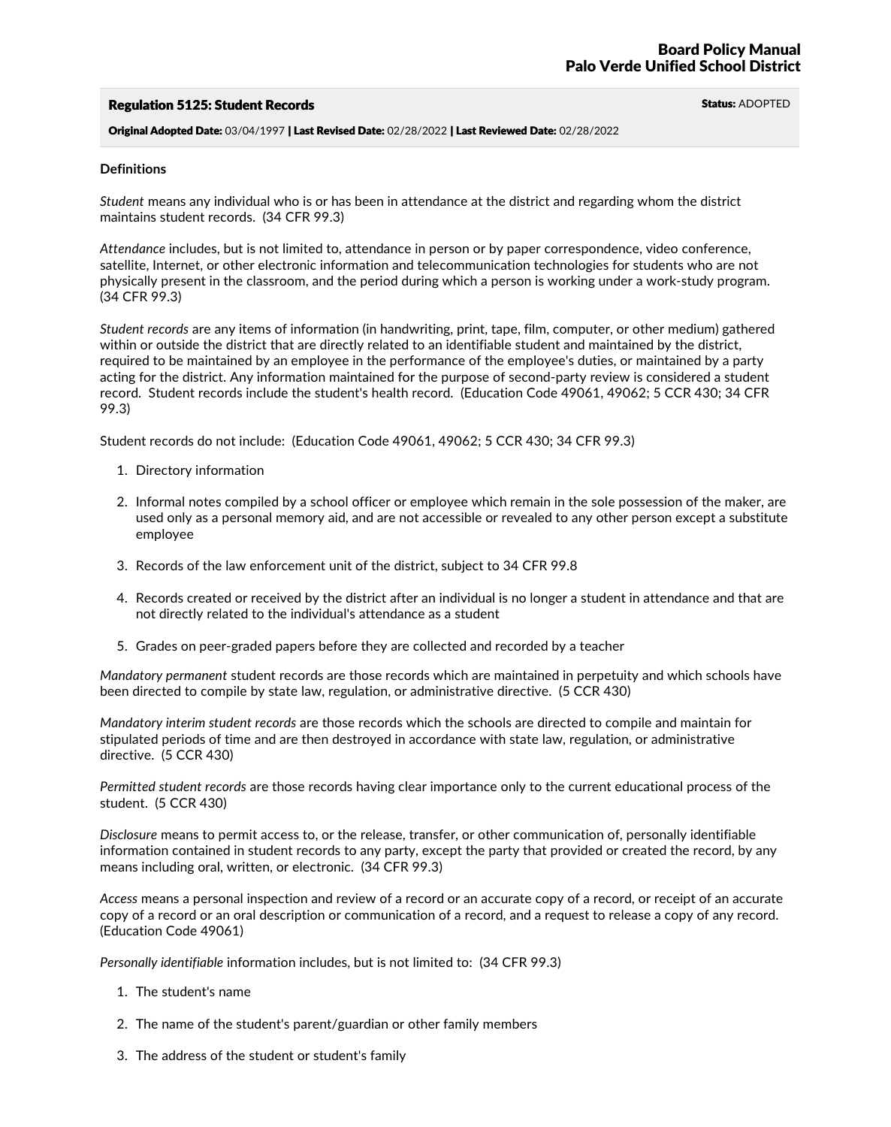## Regulation 5125: Student Records **Status: ADOPTED** Status: ADOPTED

Original Adopted Date: 03/04/1997 | Last Revised Date: 02/28/2022 | Last Reviewed Date: 02/28/2022

#### **Definitions**

*Student* means any individual who is or has been in attendance at the district and regarding whom the district maintains student records. (34 CFR 99.3)

Attendance includes, but is not limited to, attendance in person or by paper correspondence, video conference,<br>satellite, Internet, or other electronic information and telecommunication technologies for students who are no physically present in the classroom, and the period during which a person is working under a work-study program. (34 CFR 99.3)

*Student records* are any items of information (in handwriting, print, tape, film, computer, or other medium) gathered within or outside the district that are directly related to an identifiable student and maintained by the district,<br>required to be maintained by an employee in the performance of the employee's duties, or maintained by a p acting for the district. Any information maintained for the purpose of second-party review is considered a student record. Student records include the student's health record. (Education Code 49061, 49062; 5 CCR 430; 34 CFR 99.3)

Student records do not include: (Education Code 49061, 49062; 5 CCR 430; 34 CFR 99.3)

- 1. Directory information
- 2. Informal notes compiled by a school officer or employee which remain in the sole possession of the maker, are used only as a personal memory aid, and are not accessible or revealed to any other person except a substitute employee
- 3. Records of the law enforcement unit of the district, subject to 34 CFR 99.8
- 4. Records created or received by the district after an individual is no longer a student in attendance and that are not directly related to the individual's attendance as a student
- 5. Grades on peer-graded papers before they are collected and recorded by a teacher

*Mandatory permanent* student records are those records which are maintained in perpetuity and which schools have been directed to compile by state law, regulation, or administrative directive. (5 CCR 430)

*Mandatory interim student records* are those records which the schools are directed to compile and maintain for stipulated periods of time and are then destroyed in accordance with state law, regulation, or administrative directive. (5 CCR 430)

*Permitted student records* are those records having clear importance only to the current educational process of the student. (5 CCR 430)

*Disclosure* means to permit access to, or the release, transfer, or other communication of, personally identifiable information contained in student records to any party, except the party that provided or created the record, by any means including oral, written, or electronic. (34 CFR 99.3)

*Access* means a personal inspection and review of a record or an accurate copy of a record, or receipt of an accurate copy of a record or an oral description or communication of a record, and a request to release a copy of any record. (Education Code 49061)

*Personally identifiable* information includes, but is not limited to: (34 CFR 99.3)

- 1. The student's name
- 2. The name of the student's parent/guardian or other family members
- 3. The address of the student or student's family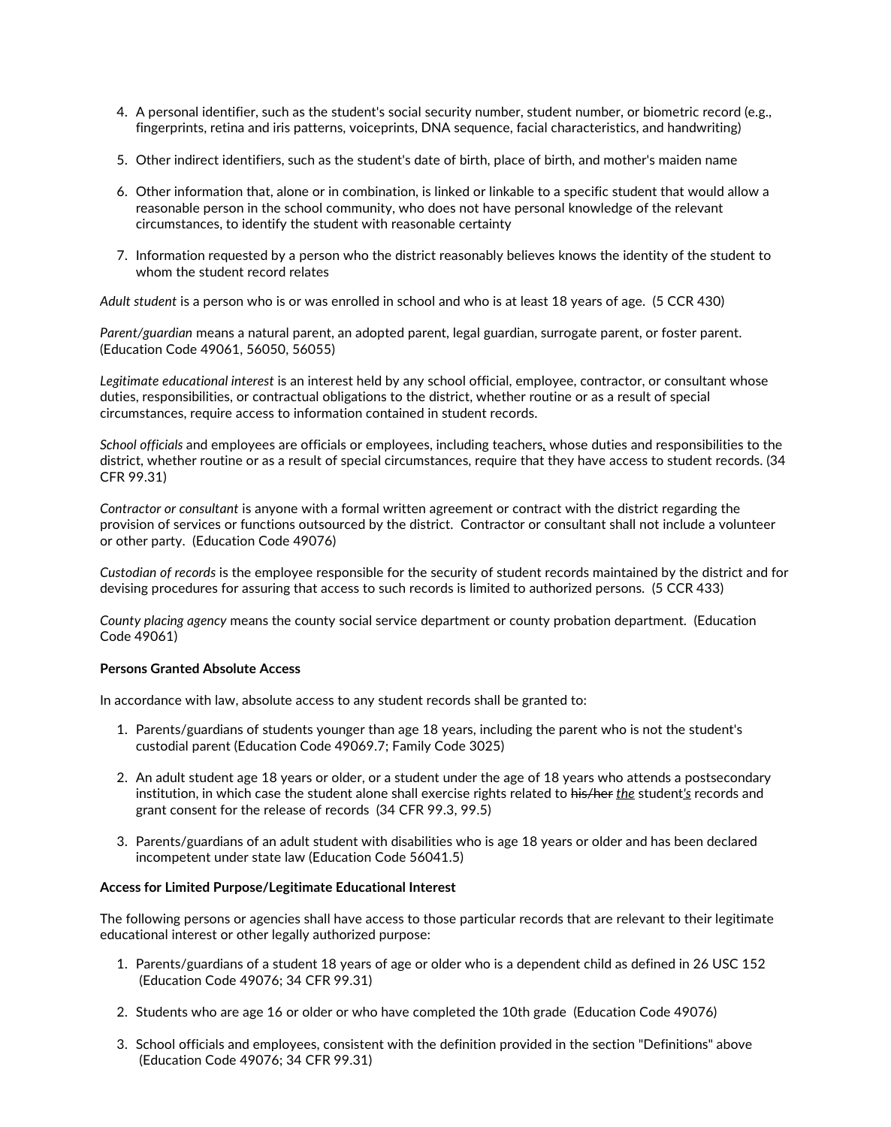- 4. <sup>A</sup> personal identifier, such as the student's social security number, student number, or biometric record (e.g., fingerprints, retina and iris patterns, voiceprints, DNA sequence, facial characteristics, and handwriting)
- 5. Other indirect identifiers, such as the student's date of birth, place of birth, and mother's maiden name
- 6. Other information that, alone or in combination, is linked or linkable to a specific student that would allow a reasonable person in the school community, who does not have personal knowledge of the relevant circumstances, to identify the student with reasonable certainty
- 7. Information requested by a person who the district reasonably believes knows the identity of the student to whom the student record relates

*Adult student* is a person who is or was enrolled in school and who is at least 18 years of age. (5 CCR 430)

*Parent/guardian* means a natural parent, an adopted parent, legal guardian, surrogate parent, or foster parent. (Education Code 49061, 56050, 56055)

*Legitimate educational interest* is an interest held by any school official, employee, contractor, or consultant whose duties, responsibilities, or contractual obligations to the district, whether routine or as a result of special circumstances, require access to information contained in student records.

*School officials* and employees are officials or employees, including teachers*,* whose duties and responsibilities to the district, whether routine or as a result of special circumstances, require that they have access to student records. (34 CFR 99.31)

*Contractor or consultant* is anyone with a formal written agreement or contract with the district regarding the provision of services or functions outsourced by the district. Contractor or consultant shall not include a volunteer or other party. (Education Code 49076)

*Custodian of records* is the employee responsible for the security of student records maintained by the district and for devising procedures for assuring that access to such records is limited to authorized persons. (5 CCR 433)

*County placing agency* means the county social service department or county probation department. (Education Code 49061)

# **Persons Granted Absolute Access**

In accordance with law, absolute access to any student records shall be granted to:

- 1. Parents/guardians of students younger than age 18 years, including the parent who is not the student's custodial parent (Education Code 49069.7; Family Code 3025)
- 2. An adult student age 18 years or older, or a student under the age of 18 years who attends a postsecondary institution, in which case the student alone shall exercise rights related to his/her *the* student*'s* records and grant consent for the release of records (34 CFR 99.3, 99.5)
- 3. Parents/guardians of an adult student with disabilities who is age 18 years or older and has been declared incompetent under state law (Education Code 56041.5)

#### **Access for Limited Purpose/Legitimate Educational Interest**

The following persons or agencies shall have access to those particular records that are relevant to their legitimate educational interest or other legally authorized purpose:

- 1. Parents/guardians of a student 18 years of age or older who is a dependent child as defined in 26 USC 152 (Education Code 49076; 34 CFR 99.31)
- 2. Students who are age 16 or older or who have completed the 10th grade (Education Code 49076)
- 3. School officials and employees, consistent with the definition provided in the section "Definitions" above (Education Code 49076; 34 CFR 99.31)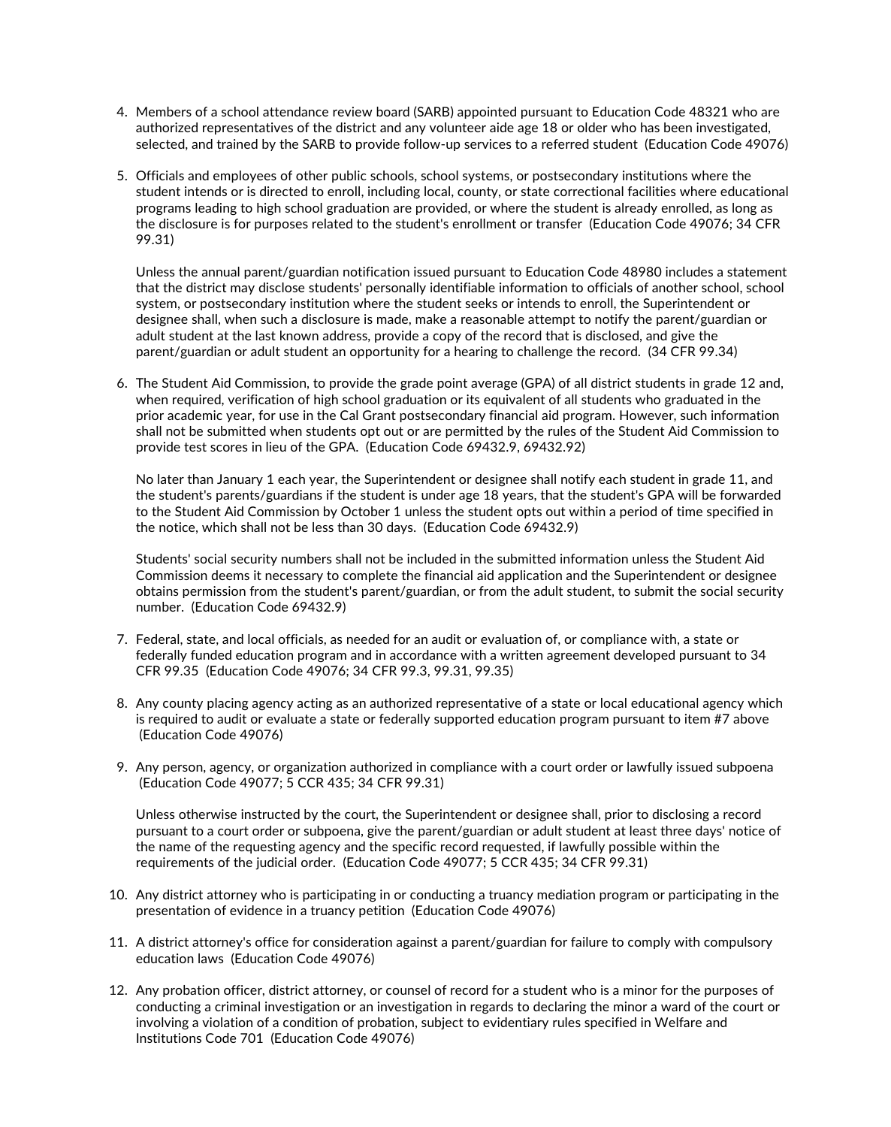- 4. Members of a school attendance review board (SARB) appointed pursuant to Education Code 48321 who are authorized representatives of the district and any volunteer aide age 18 or older who has been investigated,<br>selected, and trained by the SARB to provide follow-up services to a referred student (Education Code 49076)
- 5. Officials and employees of other public schools, school systems, or postsecondary institutions where the student intends or is directed to enroll, including local, county, or state correctional facilities where educational programs leading to high school graduation are provided, or where the student is already enrolled, as long as the disclosure is for purposes related to the student's enrollment or transfer (Education Code 49076; 34 CFR 99.31)

Unless the annual parent/guardian notification issued pursuant to Education Code 48980 includes a statement that the district may disclose students' personally identifiable information to officials of another school, school system, or postsecondary institution where the student seeks or intends to enroll, the Superintendent or designee shall, when such a disclosure is made, make a reasonable attempt to notify the parent/guardian or adult student at the last known address, provide a copy of the record that is disclosed, and give the parent/guardian or adult student an opportunity for a hearing to challenge the record. (34 CFR 99.34)

6. The Student Aid Commission, to provide the grade point average (GPA) of all district students in grade 12 and, when required, verification of high school graduation or its equivalent of all students who graduated in the prior academic year, for use in the Cal Grant postsecondary financial aid program. However, such information shall not be submitted when students opt out or are permitted by the rules of the Student Aid Commission to provide test scores in lieu of the GPA. (Education Code 69432.9, 69432.92)

No later than January 1 each year, the Superintendent or designee shall notify each student in grade 11, and the student's parents/guardians if the student is under age 18 years, that the student's GPA will be forwarded to the Student Aid Commission by October 1 unless the student opts out within a period of time specified in the notice, which shall not be less than 30 days. (Education Code 69432.9)

Students' social security numbers shall not be included in the submitted information unless the Student Aid Commission deems it necessary to complete the financial aid application and the Superintendent or designee obtains permission from the student's parent/guardian, or from the adult student, to submit the social security number. (Education Code 69432.9)

- 7. Federal, state, and local officials, as needed for an audit or evaluation of, or compliance with, a state or federally funded education program and in accordance with a written agreement developed pursuant to 34 CFR 99.35 (Education Code 49076; 34 CFR 99.3, 99.31, 99.35)
- 8. Any county placing agency acting as an authorized representative of a state or local educational agency which is required to audit or evaluate a state or federally supported education program pursuant to item #7 above (Education Code 49076)
- 9. Any person, agency, or organization authorized in compliance with a court order or lawfully issued subpoena (Education Code 49077; 5 CCR 435; 34 CFR 99.31)

Unless otherwise instructed by the court, the Superintendent or designee shall, prior to disclosing a record pursuant to a court order or subpoena, give the parent/guardian or adult student at least three days' notice of the name of the requesting agency and the specific record requested, if lawfully possible within the requirements of the judicial order. (Education Code 49077; 5 CCR 435; 34 CFR 99.31)

- 10. Any district attorney who is participating in or conducting a truancy mediation program or participating in the presentation of evidence in a truancy petition (Education Code 49076)
- 11. A district attorney's office for consideration against a parent/guardian for failure to comply with compulsory education laws (Education Code 49076)
- 12. Any probation officer, district attorney, or counsel of record for a student who is a minor for the purposes of conducting a criminal investigation or an investigation in regards to declaring the minor a ward of the court or involving a violation of a condition of probation, subject to evidentiary rules specified in Welfare and Institutions Code 701 (Education Code 49076)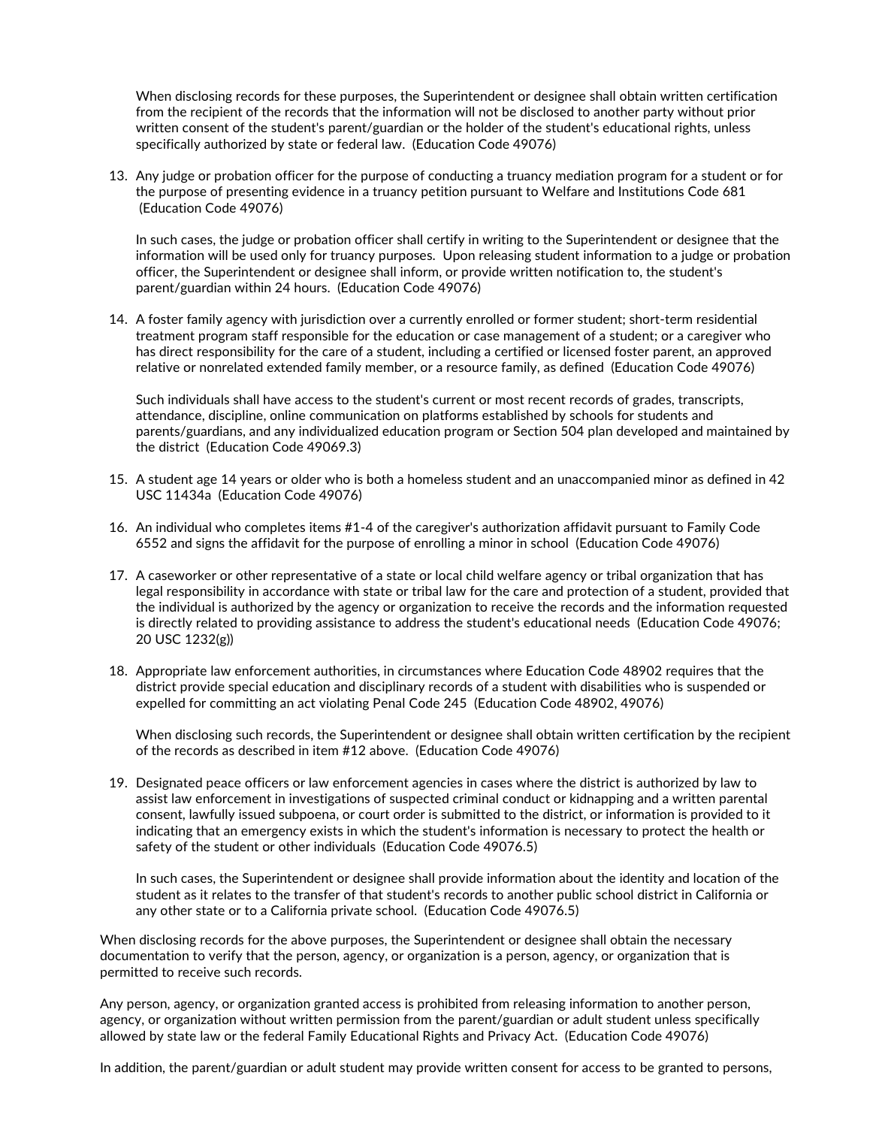When disclosing records for these purposes, the Superintendent or designee shall obtain written certification from the recipient of the records that the information will not be disclosed to another party without prior written consent of the student's parent/guardian or the holder of the student's educational rights, unless specifically authorized by state or federal law. (Education Code 49076)

13. Any judge or probation officer for the purpose of conducting a truancy mediation program for a student or for the purpose of presenting evidence in a truancy petition pursuant to Welfare and Institutions Code 681 (Education Code 49076)

In such cases, the judge or probation officer shall certify in writing to the Superintendent or designee that the information will be used only for truancy purposes. Upon releasing student information to a judge or probation officer, the Superintendent or designee shall inform, or provide written notification to, the student's parent/guardian within 24 hours. (Education Code 49076)

14. A foster family agency with jurisdiction over a currently enrolled or former student; short-term residential treatment program staff responsible for the education or case management of a student; or a caregiver who has direct responsibility for the care of a student, including a certified or licensed foster parent, an approved relative or nonrelated extended family member, or a resource family, as defined (Education Code 49076)

Such individuals shall have access to the student's current or most recent records of grades, transcripts, attendance, discipline, online communication on platforms established by schools for students and parents/guardians, and any individualized education program or Section 504 plan developed and maintained by the district (Education Code 49069.3)

- 15. A student age 14 years or older who is both a homeless student and an unaccompanied minor as defined in 42 USC 11434a (Education Code 49076)
- 16. An individual who completes items #1-4 of the caregiver's authorization affidavit pursuant to Family Code 6552 and signs the affidavit for the purpose of enrolling a minor in school (Education Code 49076)
- 17. A caseworker or other representative of a state or local child welfare agency or tribal organization that has legal responsibility in accordance with state or tribal law for the care and protection of a student, provided that the individual is authorized by the agency or organization to receive the records and the information requested is directly related to providing assistance to address the student's educational needs (Education Code 49076; 20 USC 1232(g))
- 18. Appropriate law enforcement authorities, in circumstances where Education Code 48902 requires that the district provide special education and disciplinary records of a student with disabilities who is suspended or expelled for committing an act violating Penal Code 245 (Education Code 48902, 49076)

When disclosing such records, the Superintendent or designee shall obtain written certification by the recipient of the records as described in item #12 above. (Education Code 49076)

19. Designated peace officers or law enforcement agencies in cases where the district is authorized by law to assist law enforcement in investigations of suspected criminal conduct or kidnapping and a written parental consent, lawfully issued subpoena, or court order is submitted to the district, or information is provided to it indicating that an emergency exists in which the student's information is necessary to protect the health or safety of the student or other individuals (Education Code 49076.5)

In such cases, the Superintendent or designee shall provide information about the identity and location of the student as it relates to the transfer of that student's records to another public school district in California or any other state or to a California private school. (Education Code 49076.5)

When disclosing records for the above purposes, the Superintendent or designee shall obtain the necessary documentation to verify that the person, agency, or organization is a person, agency, or organization that is permitted to receive such records.

Any person, agency, or organization granted access is prohibited from releasing information to another person,<br>agency, or organization without written permission from the parent/guardian or adult student unless specificall allowed by state law or the federal Family Educational Rights and Privacy Act. (Education Code 49076)

In addition, the parent/guardian or adult student may provide written consent for access to be granted to persons,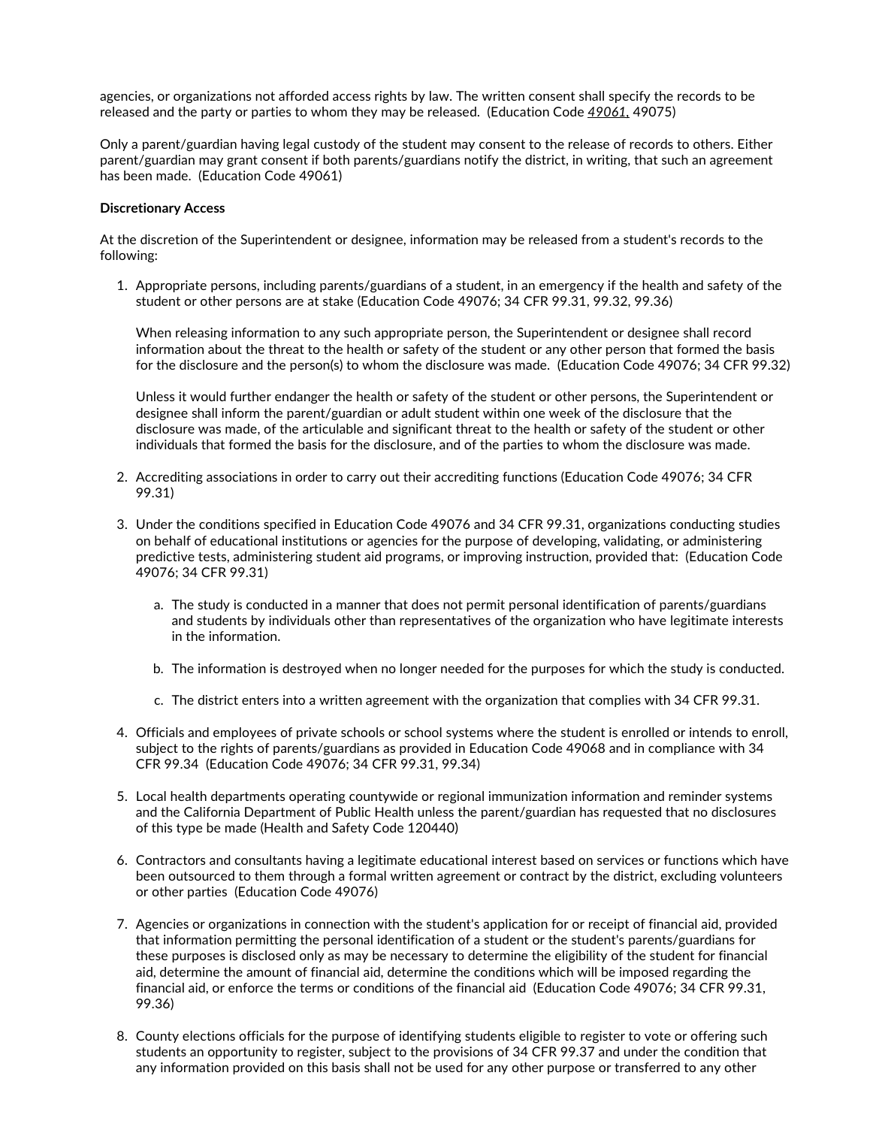agencies, or organizations not afforded access rights by law. The written consent shall specify the records to be released and the party or parties to whom they may be released. (Education Code *49061,* 49075)

Only a parent/guardian having legal custody of the student may consent to the release of records to others. Either parent/guardian may grant consent if both parents/guardians notify the district, in writing, that such an agreement has been made. (Education Code 49061)

### **Discretionary Access**

At the discretion of the Superintendent or designee, information may be released from a student's records to the following:

1. Appropriate persons, including parents/guardians of a student, in an emergency ifthe health and safety of the student or other persons are at stake (Education Code 49076; 34 CFR 99.31, 99.32, 99.36)

When releasing information to any such appropriate person, the Superintendent or designee shall record information about the threat to the health or safety of the student or any other person that formed the basis for the disclosure and the person(s) to whom the disclosure was made. (Education Code 49076; 34 CFR 99.32)

Unless it would further endanger the health or safety of the student or other persons, the Superintendent or designee shall inform the parent/guardian or adult student within one week of the disclosure that the disclosure was made, of the articulable and significant threat to the health or safety of the student or other individuals that formed the basis for the disclosure, and of the parties to whom the disclosure was made.

- 2. Accrediting associations in order to carry out their accrediting functions (Education Code 49076; 34 CFR 99.31)
- 3. Under the conditions specified in Education Code 49076 and 34 CFR 99.31, organizations conducting studies on behalf of educational institutions or agencies for the purpose of developing, validating, or administering predictive tests, administering student aid programs, or improving instruction, provided that: (Education Code 49076; 34 CFR 99.31)
	- a. The study is conducted in a manner that does not permit personal identification of parents/guardians and students by individuals other than representatives of the organization who have legitimate interests in the information.
	- b. The information is destroyed when no longer needed for the purposes for which the study is conducted.
	- c. The district enters into a written agreement with the organization that complies with 34 CFR 99.31.
- 4. Officials and employees of private schools or school systems where the student is enrolled or intends to enroll, subject to the rights of parents/guardians as provided in Education Code <sup>49068</sup> and in compliance with <sup>34</sup> CFR 99.34 (Education Code 49076; 34 CFR 99.31, 99.34)
- 5. Local health departments operating countywide or regional immunization information and reminder systems and the California Department of Public Health unless the parent/guardian has requested that no disclosures of this type be made (Health and Safety Code 120440)
- 6. Contractors and consultants having a legitimate educational interest based on services or functions which have been outsourced to them through a formal written agreement or contract by the district, excluding volunteers or other parties (Education Code 49076)
- 7. Agencies or organizations in connection with the student's application for or receipt of financial aid, provided that information permitting the personal identification of a student or the student's parents/guardians for these purposes is disclosed only as may be necessary to determine the eligibility of the student for financial aid, determine the amount of financial aid, determine the conditions which will be imposed regarding the financial aid, or enforce the terms or conditions of the financial aid (Education Code 49076; 34 CFR 99.31, 99.31,
- 8. County elections officials for the purpose of identifying students eligible to register to vote or offering such students an opportunity to register, subject to the provisions of 34 CFR 99.37 and under the condition that any information provided on this basis shall not be used for any other purpose or transferred to any other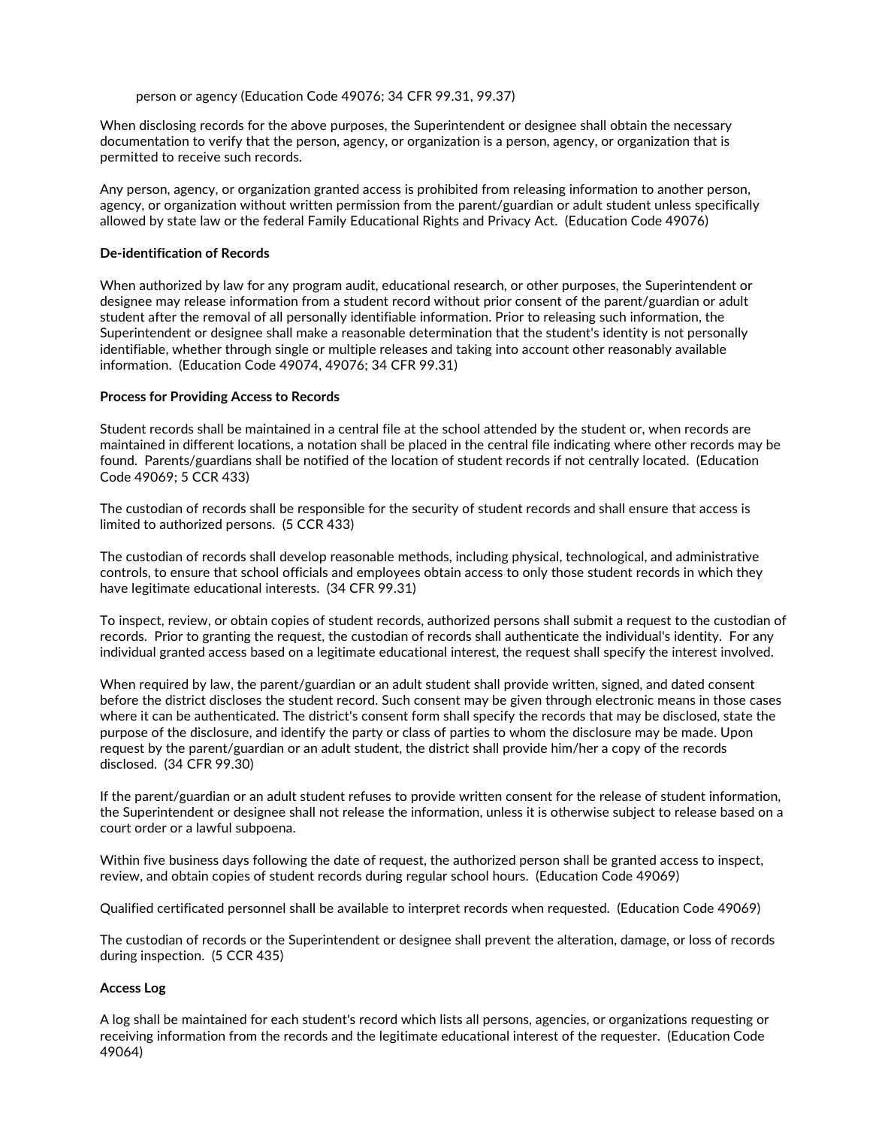person or agency (Education Code 49076; 34 CFR 99.31, 99.37)

When disclosing records for the above purposes, the Superintendent or designee shall obtain the necessary documentation to verify that the person, agency, or organization is a person, agency, or organization that is permitted to receive such records.

Any person, agency, or organization granted access is prohibited from releasing information to another person,<br>agency, or organization without written permission from the parent/guardian or adult student unless specificall allowed by state law or the federal Family Educational Rights and Privacy Act. (Education Code 49076)

### **De-identification of Records**

When authorized by law for any program audit, educational research, or other purposes, the Superintendent or designee may release information from a student record without prior consent of the parent/guardian or adult student after the removal of all personally identifiable information. Prior to releasing such information, the Superintendent or designee shall make a reasonable determination that the student's identity is not personally identifiable, whether through single or multiple releases and taking into account other reasonably available information. (Education Code 49074, 49076; 34 CFR 99.31)

## **Process for Providing Access to Records**

Student records shall be maintained in a central file at the school attended by the student or, when records are maintained in different locations, a notation shall be placed in the central file indicating where other records may be found. Parents/guardians shall be notified of the location of student records if not centrally located. (Education Code 49069; 5 CCR 433)

The custodian of records shall be responsible for the security of student records and shall ensure that access is limited to authorized persons. (5 CCR 433)

The custodian of records shall develop reasonable methods, including physical, technological, and administrative controls, to ensure that school officials and employees obtain access to only those student records in which they have legitimate educational interests. (34 CFR 99.31)

To inspect, review, or obtain copies of student records, authorized persons shall submit a request to the custodian of records. Prior to granting the request, the custodian of records shall authenticate the individual's identity. For any individual granted access based on a legitimate educational interest, the request shall specify the interest involved.

When required by law, the parent/guardian or an adult student shall provide written, signed, and dated consent before the district discloses the student record. Such consent may be given through electronic means in those cases where it can be authenticated. The district's consent form shall specify the records that may be disclosed, state the purpose of the disclosure, and identify the party or class of parties to whom the disclosure may be made. Upon request by the parent/guardian or an adult student, the district shall provide him/her a copy of the records disclosed. (34 CFR 99.30)

If the parent/guardian or an adult student refuses to provide written consent for the release of student information,<br>the Superintendent or designee shall not release the information, unless it is otherwise subject to rele court order or a lawful subpoena.

Within five business days following the date of request, the authorized person shall be granted access to inspect, review, and obtain copies of student records during regular school hours. (Education Code 49069)

Qualified certificated personnel shall be available to interpret records when requested. (Education Code 49069)

The custodian of records or the Superintendent or designee shall prevent the alteration, damage, or loss of records during inspection. (5 CCR 435)

# **Access Log**

A log shall be maintained for each student's record which lists all persons, agencies, or organizations requesting or receiving information from the records and the legitimate educational interest of the requester. (Education Code 49064)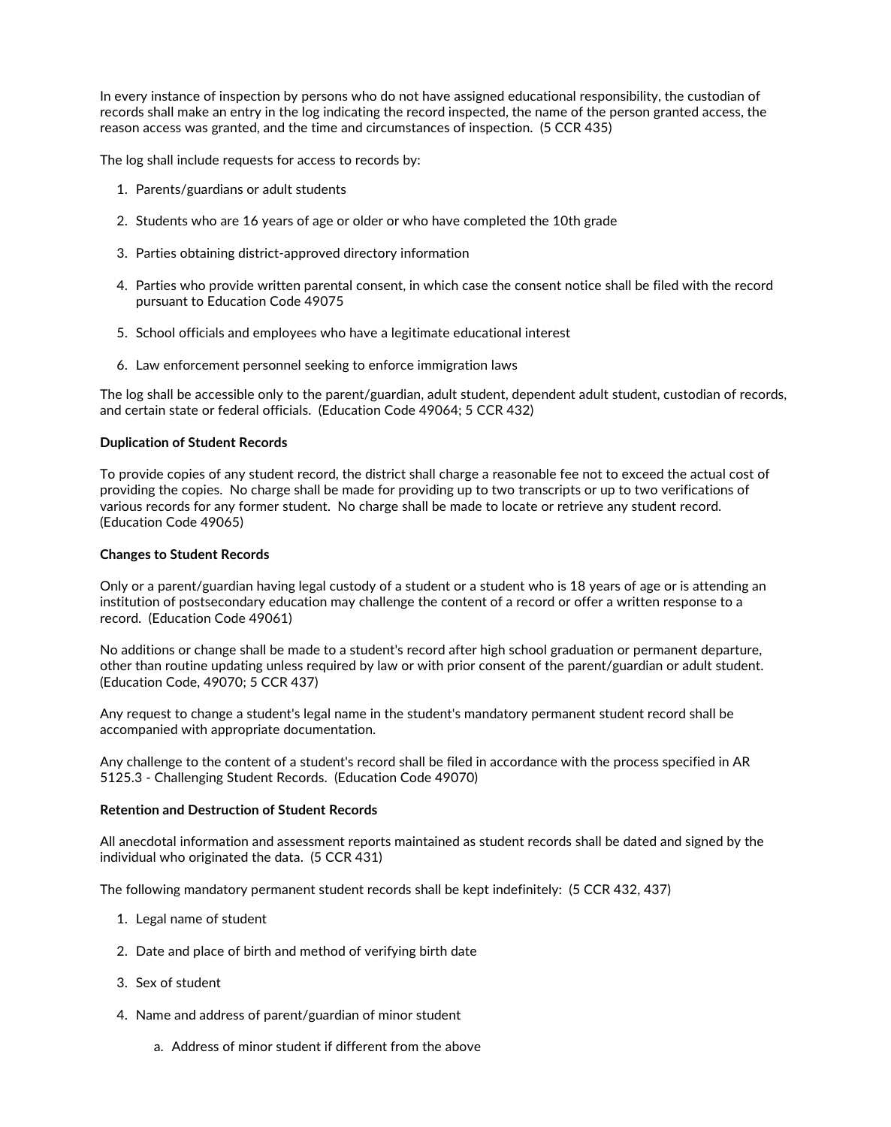In every instance of inspection by persons who do not have assigned educational responsibility, the custodian of records shall make an entry in the log indicating the record inspected, the name of the person granted access, the reason access was granted, and the time and circumstances of inspection. (5 CCR 435)

The log shall include requests for access to records by:

- 1. Parents/guardians or adult students
- 2. Students who are 16 years of age or older or who have completed the 10th grade
- 3. Parties obtaining district-approved directory information
- 4. Parties who provide written parental consent, in which case the consent notice shall be filed with the record pursuant to Education Code 49075
- 5. School officials and employees who have a legitimate educational interest
- 6. Law enforcement personnel seeking to enforce immigration laws

The log shall be accessible only to the parent/guardian, adult student, dependent adult student, custodian of records, and certain state or federal officials. (Education Code 49064; 5 CCR 432)

#### **Duplication of Student Records**

To provide copies of any student record, the district shall charge a reasonable fee not to exceed the actual cost of providing the copies. No charge shall be made for providing up to two transcripts or up to two verifications of various records for any former student. No charge shall be made to locate or retrieve any student record. (Education Code 49065)

#### **Changes to Student Records**

Only or a parent/guardian having legal custody of a student or a student who is 18 years of age or is attending an institution of postsecondary education may challenge the content of a record or offer a written response to a record. (Education Code 49061)

No additions or change shall be made to a student's record after high school graduation or permanent departure, other than routine updating unless required by law or with prior consent of the parent/guardian or adult student. (Education Code, 49070; 5 CCR 437)

Any request to change a student's legal name in the student's mandatory permanent student record shall be accompanied with appropriate documentation.

Any challenge to the content of a student's record shall be filed in accordance with the process specified in AR 5125.3 - Challenging Student Records. (Education Code 49070)

#### **Retention and Destruction of Student Records**

All anecdotal information and assessment reports maintained as student records shall be dated and signed by the individual who originated the data. (5 CCR 431)

The following mandatory permanent student records shall be kept indefinitely: (5 CCR 432, 437)

- 1. Legal name of student
- 2. Date and place of birth and method of verifying birth date
- 3. Sex of student
- 4. Name and address of parent/guardian of minor student
	- a. Address of minor student if different from the above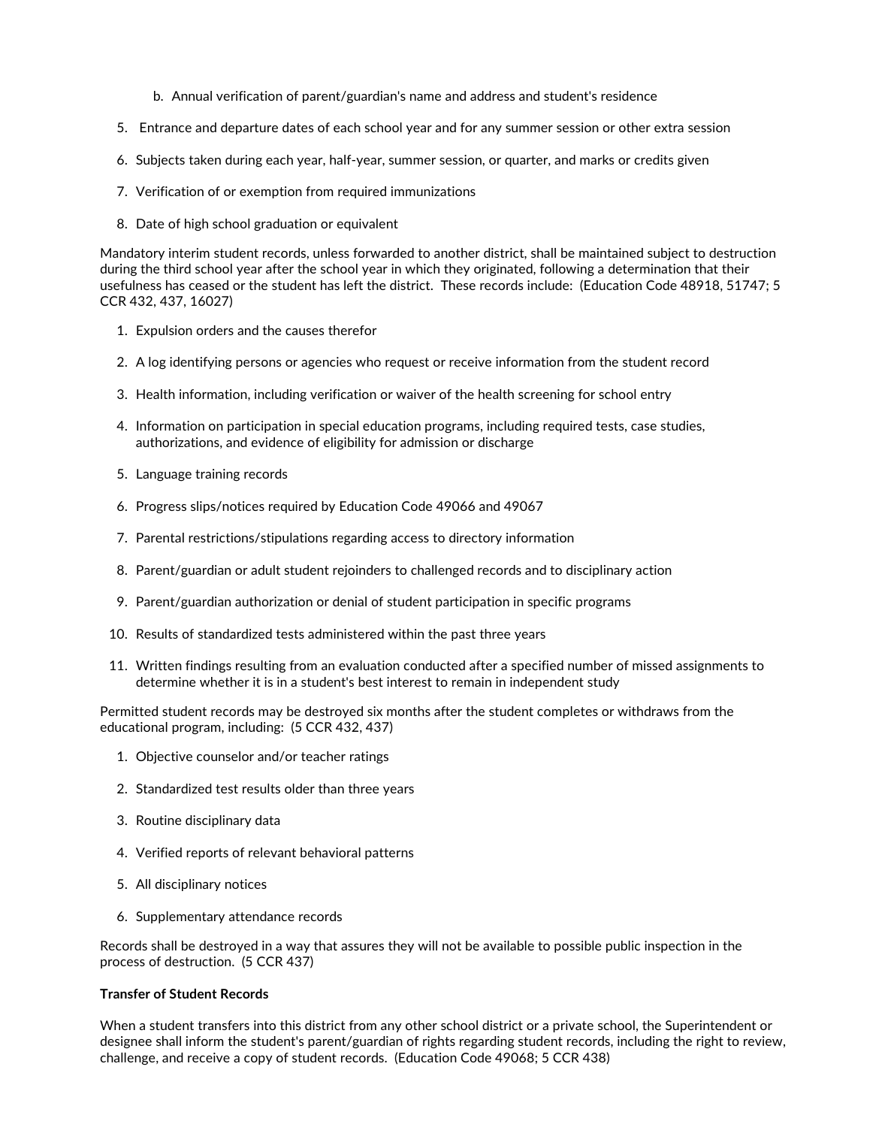- b. Annual verification of parent/guardian's name and address and student's residence
- 5. Entrance and departure dates of each school year and for any summer session or other extra session
- 6. Subjects taken during each year, half-year, summer session, or quarter, and marks or credits given
- 7. Verification of or exemption from required immunizations
- 8. Date of high school graduation or equivalent

Mandatory interim student records, unless forwarded to another district, shall be maintained subject to destruction during the third school year after the school year in which they originated, following a determination that their usefulness has ceased or the student has left the district. These records include: (Education Code 48918, 51747; 5 CCR 432, 437, 16027)

- 1. Expulsion orders and the causes therefor
- 2. A log identifying persons or agencies who request or receive information from the student record
- 3. Health information, including verification or waiver of the health screening for school entry
- 4. Information on participation in special education programs, including required tests, case studies, authorizations, and evidence of eligibility for admission or discharge
- 5. Language training records
- 6. Progress slips/notices required by Education Code 49066 and 49067
- 7. Parental restrictions/stipulations regarding access to directory information
- 8. Parent/guardian or adult student rejoinders to challenged records and to disciplinary action
- 9. Parent/guardian authorization or denial of student participation in specific programs
- 10. Results of standardized tests administered within the past three years
- 11. Written findings resulting from anevaluation conducted after a specified number of missed assignments to determine whether it is in a student's best interest to remain in independent study

Permitted student records may be destroyed six months after the student completes or withdraws from the educational program, including: (5 CCR 432, 437)

- 1. Objective counselor and/or teacher ratings
- 2. Standardized test results older than three years
- 3. Routine disciplinary data
- 4. Verified reports of relevant behavioral patterns
- 5. All disciplinary notices
- 6. Supplementary attendance records

Records shall be destroyed in a way that assures they will not be available to possible public inspection in the process of destruction. (5 CCR 437)

# **Transfer of Student Records**

When a student transfers into this district from any other school district or a private school, the Superintendent or designee shall inform the student's parent/guardian of rights regarding student records, including the right to review, challenge, and receive <sup>a</sup> copy of student records. (Education Code 49068; <sup>5</sup> CCR 438)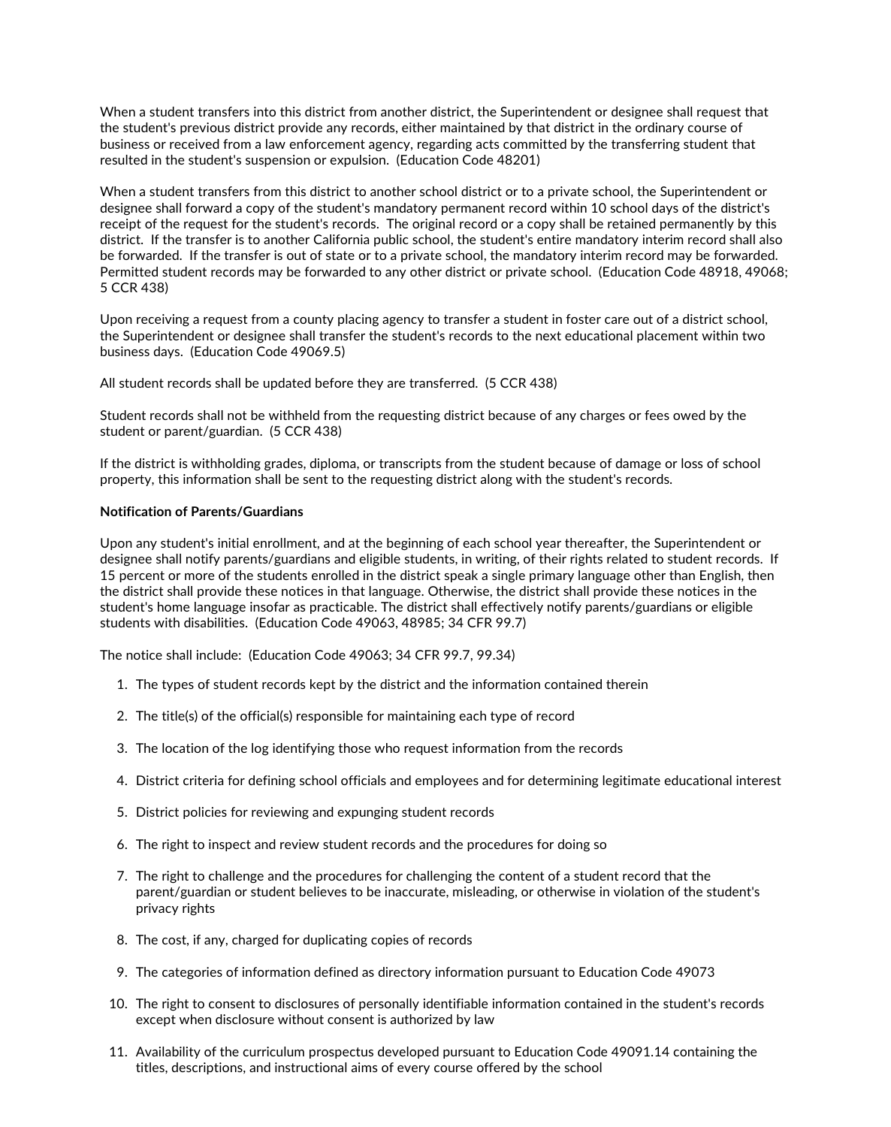When a student transfers into this district from another district, the Superintendent or designee shall request that the student's previous district provide any records, either maintained by that district in the ordinary course of business or received from a law enforcement agency, regarding acts committed by the transferring student that resulted in the student's suspension or expulsion. (Education Code 48201)

When a student transfers from this district to another school district or to a private school, the Superintendent or designee shall forward a copy of the student's mandatory permanent record within 10 school days of the district's receipt of the request for the student's records. The original record or a copy shall be retained permanently by this district. If the transfer is to another California public school, the student's entire mandatory interim record shall also<br>be forwarded. If the transfer is out of state or to a private school, the mandatory interim record Permitted student records may be forwarded to any other district or private school. (Education Code 48918, 49068; 5 CCR 438)

Upon receiving a request from a county placing agency to transfer a student in foster care out of a district school,<br>the Superintendent or designee shall transfer the student's records to the next educational placement wit business days. (Education Code 49069.5)

All student records shall be updated before they are transferred. (5 CCR 438)

Student records shall not be withheld from the requesting district because of any charges or fees owed by the student or parent/guardian. (5 CCR 438)

If the district is withholding grades, diploma, or transcripts from the student because of damage or loss of school property, this information shall be sent to the requesting district along with the student's records.

#### **Notification of Parents/Guardians**

Upon any student's initial enrollment, and at the beginning of each school year thereafter, the Superintendent or designee shall notify parents/guardians and eligible students, in writing, of their rights related to student records. If 15 percent or more of the students enrolled in the district speak a single primary language other than English, then the district shall provide these notices in that language. Otherwise, the district shall provide these notices in the student's home language insofar as practicable. The district shall effectively notify parents/guardians or eligible students with disabilities. (Education Code 49063, 48985; 34 CFR 99.7)

The notice shall include: (Education Code 49063; 34 CFR 99.7, 99.34)

- 1. The types of student records kept by the district and the information contained therein
- 2. The title(s) of the official(s) responsible for maintaining each type of record
- 3. The location of the log identifying those who request information from the records
- 4. District criteria for defining school officials and employees and for determining legitimate educational interest
- 5. District policies for reviewing and expunging student records
- 6. The right to inspect and review student records and the procedures for doing so
- 7. The right to challenge and the procedures for challenging the content of a student record that the parent/guardian or student believes to be inaccurate, misleading, or otherwise in violation of the student's privacy rights
- 8. The cost, if any, charged for duplicating copies of records
- 9. The categories of information defined as directory information pursuant to Education Code 49073
- 10. The right to consent to disclosures of personally identifiable information contained in the student's records except when disclosure without consent is authorized by law
- 11. Availability of the curriculum prospectus developed pursuant to Education Code 49091.14 containing the titles, descriptions, and instructional aims of every course offered by the school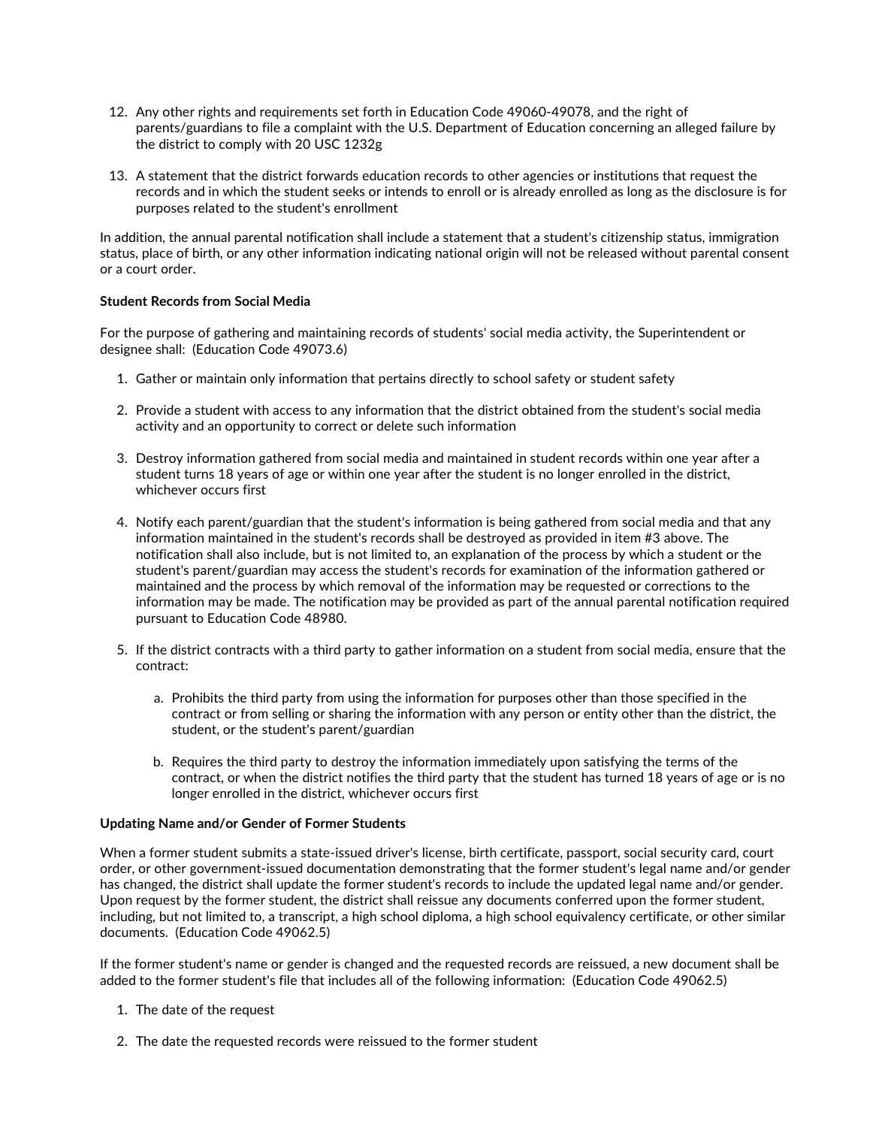- 12. Any other rights and requirements set forth in Education Code 49060-49078, and the right of parents/guardians to file a complaint with the U.S. Department of Education concerning an alleged failure by the district to comply with 20 USC 1232g
- 13. A statement that the district forwards education records to other agencies or institutions that request the records and in which the student seeks or intends to enroll or is already enrolled as long as the disclosure is for purposes related to the student's enrollment

In addition, the annual parental notification shall include a statement that a student's citizenship status, immigration status, place of birth, or any other information indicating national origin will not be released without parental consent or a court order.

## **Student Records from Social Media**

For the purpose of gathering and maintaining records of students' social media activity, the Superintendent or designee shall: (Education Code 49073.6)

- 1. Gather or maintain only information that pertains directly to school safety or student safety
- 2. Provide a student with access to any information that the district obtained from the student's social media activity and an opportunity to correct or delete such information
- 3. Destroy information gathered from social media and maintained in student records within one year after a student turns 18 years of age or within one year after the student is no longer enrolled in the district, whichever occurs first
- 4. Notify each parent/guardian that the student's information is being gathered from social media and that any information maintained in the student's records shall be destroyed as provided in item #3 above. The notification shall also include, but is not limited to, an explanation of the process by which a student or the student's parent/guardian may access the student's records for examination of the information gathered or maintained and the process by which removal of the information may be requested or corrections to the information may be made. The notification may be provided as part of the annual parental notification required pursuant to Education Code 48980.
- 5. If the district contracts with a third party to gather information on a student from social media, ensure that the contract:
	- a. Prohibits the third party from using the information for purposes other than those specified in the contract or from selling or sharing the information with any person or entity other than the district, the student, or the student's parent/guardian
	- b. Requires the third party to destroy the information immediately upon satisfying the terms of the contract, or when the district notifies the third party that the student has turned 18 years of age or is no longer enrolled in the district, whichever occurs first

#### **Updating Name and/or Gender of Former Students**

When a former student submits a state-issued driver's license, birth certificate, passport, social security card, court order, or other government-issued documentation demonstrating that the former student's legal name and/or gender has changed, the district shall update the former student's records to include the updated legal name and/or gender.<br>Upon request by the former student, the district shall reissue any documents conferred upon the former st including, but not limited to, a transcript, a high school diploma, a high school equivalency certificate, or other similar documents. (Education Code 49062.5)

If the former student's name or gender is changed and the requested records are reissued, a new document shall be added to the former student's file that includes all of the following information: (Education Code 49062.5)

- 1. The date of the request
- 2. The date the requested records were reissued to the former student